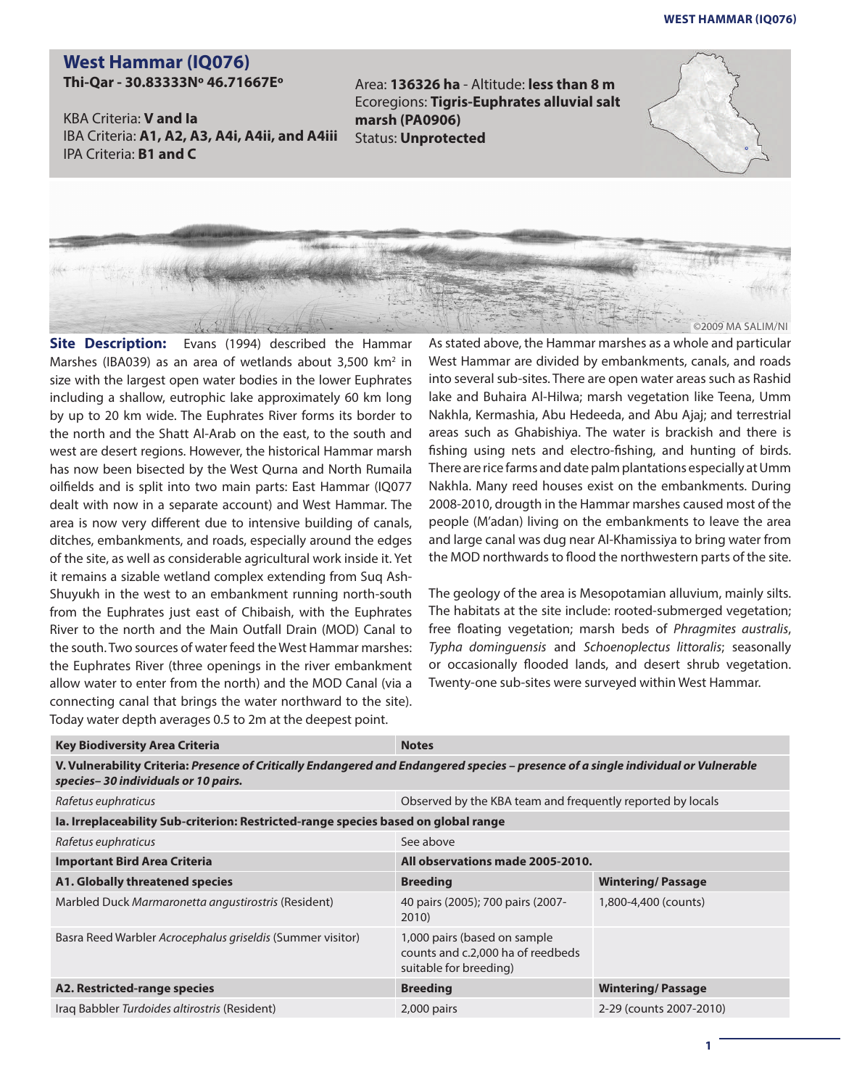## **West Hammar (iq076)**

## **West Hammar (IQ076)**

**Thi-Qar - 30.83333Nº 46.71667Eº**

KBA Criteria: **V and Ia** IBA Criteria: **A1, A2, A3, A4i, A4ii, and A4iii** IPA Criteria: **B1 and C**

Area: **136326 ha** - Altitude: **less than 8 m** Ecoregions: **Tigris-Euphrates alluvial salt marsh (PA0906)** Status: **Unprotected**





**Site Description:** Evans (1994) described the Hammar Marshes (IBA039) as an area of wetlands about 3,500 km<sup>2</sup> in size with the largest open water bodies in the lower Euphrates including a shallow, eutrophic lake approximately 60 km long by up to 20 km wide. The Euphrates River forms its border to the north and the Shatt Al-Arab on the east, to the south and west are desert regions. However, the historical Hammar marsh has now been bisected by the West Qurna and North Rumaila oilfields and is split into two main parts: East Hammar (IQ077 dealt with now in a separate account) and West Hammar. The area is now very different due to intensive building of canals, ditches, embankments, and roads, especially around the edges of the site, as well as considerable agricultural work inside it. Yet it remains a sizable wetland complex extending from Suq Ash-Shuyukh in the west to an embankment running north-south from the Euphrates just east of Chibaish, with the Euphrates River to the north and the Main Outfall Drain (MOD) Canal to the south. Two sources of water feed the West Hammar marshes: the Euphrates River (three openings in the river embankment allow water to enter from the north) and the MOD Canal (via a connecting canal that brings the water northward to the site). Today water depth averages 0.5 to 2m at the deepest point.

As stated above, the Hammar marshes as a whole and particular West Hammar are divided by embankments, canals, and roads into several sub-sites. There are open water areas such as Rashid lake and Buhaira Al-Hilwa; marsh vegetation like Teena, Umm Nakhla, Kermashia, Abu Hedeeda, and Abu Ajaj; and terrestrial areas such as Ghabishiya. The water is brackish and there is fishing using nets and electro-fishing, and hunting of birds. There are rice farms and date palm plantations especially at Umm Nakhla. Many reed houses exist on the embankments. During 2008-2010, drougth in the Hammar marshes caused most of the people (M'adan) living on the embankments to leave the area and large canal was dug near Al-Khamissiya to bring water from the MOD northwards to flood the northwestern parts of the site.

The geology of the area is Mesopotamian alluvium, mainly silts. The habitats at the site include: rooted-submerged vegetation; free floating vegetation; marsh beds of *Phragmites australis*, *Typha dominguensis* and *Schoenoplectus littoralis*; seasonally or occasionally flooded lands, and desert shrub vegetation. Twenty-one sub-sites were surveyed within West Hammar.

| <b>Key Biodiversity Area Criteria</b>                                                                                                                                      | <b>Notes</b>                                                                                |                          |  |
|----------------------------------------------------------------------------------------------------------------------------------------------------------------------------|---------------------------------------------------------------------------------------------|--------------------------|--|
| V. Vulnerability Criteria: Presence of Critically Endangered and Endangered species – presence of a single individual or Vulnerable<br>species-30 individuals or 10 pairs. |                                                                                             |                          |  |
| Rafetus euphraticus                                                                                                                                                        | Observed by the KBA team and frequently reported by locals                                  |                          |  |
| la. Irreplaceability Sub-criterion: Restricted-range species based on global range                                                                                         |                                                                                             |                          |  |
| Rafetus euphraticus                                                                                                                                                        | See above                                                                                   |                          |  |
| <b>Important Bird Area Criteria</b>                                                                                                                                        | All observations made 2005-2010.                                                            |                          |  |
| A1. Globally threatened species                                                                                                                                            | <b>Breeding</b>                                                                             | <b>Wintering/Passage</b> |  |
| Marbled Duck Marmaronetta angustirostris (Resident)                                                                                                                        | 40 pairs (2005); 700 pairs (2007-<br>2010)                                                  | 1,800-4,400 (counts)     |  |
| Basra Reed Warbler Acrocephalus griseldis (Summer visitor)                                                                                                                 | 1,000 pairs (based on sample<br>counts and c.2,000 ha of reedbeds<br>suitable for breeding) |                          |  |
| A2. Restricted-range species                                                                                                                                               | <b>Breeding</b>                                                                             | <b>Wintering/Passage</b> |  |
| Iraq Babbler Turdoides altirostris (Resident)                                                                                                                              | $2,000$ pairs                                                                               | 2-29 (counts 2007-2010)  |  |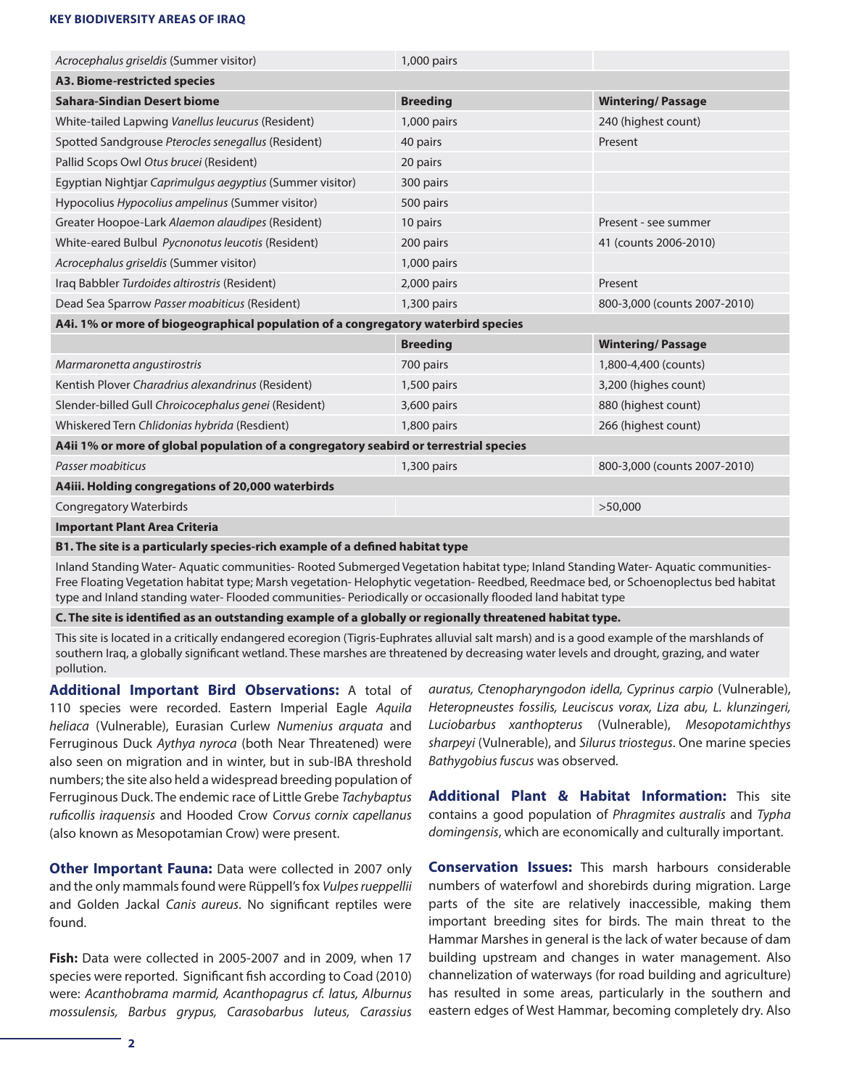## **KEY BIODIVERSITY AREAS OF IRAQ**

| Acrocephalus griseldis (Summer visitor)                                               | 1,000 pairs     |                              |  |
|---------------------------------------------------------------------------------------|-----------------|------------------------------|--|
| A3. Biome-restricted species                                                          |                 |                              |  |
| <b>Sahara-Sindian Desert biome</b>                                                    | <b>Breeding</b> | <b>Wintering/Passage</b>     |  |
| White-tailed Lapwing Vanellus leucurus (Resident)                                     | 1,000 pairs     | 240 (highest count)          |  |
| Spotted Sandgrouse Pterocles senegallus (Resident)                                    | 40 pairs        | Present                      |  |
| Pallid Scops Owl Otus brucei (Resident)                                               | 20 pairs        |                              |  |
| Egyptian Nightjar Caprimulgus aegyptius (Summer visitor)                              | 300 pairs       |                              |  |
| Hypocolius Hypocolius ampelinus (Summer visitor)                                      | 500 pairs       |                              |  |
| Greater Hoopoe-Lark Alaemon alaudipes (Resident)                                      | 10 pairs        | Present - see summer         |  |
| White-eared Bulbul Pycnonotus leucotis (Resident)                                     | 200 pairs       | 41 (counts 2006-2010)        |  |
| Acrocephalus griseldis (Summer visitor)                                               | $1,000$ pairs   |                              |  |
| Iraq Babbler Turdoides altirostris (Resident)                                         | $2,000$ pairs   | Present                      |  |
| Dead Sea Sparrow Passer moabiticus (Resident)                                         | 1,300 pairs     | 800-3,000 (counts 2007-2010) |  |
| A4i. 1% or more of biogeographical population of a congregatory waterbird species     |                 |                              |  |
|                                                                                       | <b>Breeding</b> | <b>Wintering/Passage</b>     |  |
| Marmaronetta angustirostris                                                           | 700 pairs       | 1,800-4,400 (counts)         |  |
| Kentish Plover Charadrius alexandrinus (Resident)                                     | $1,500$ pairs   | 3,200 (highes count)         |  |
| Slender-billed Gull Chroicocephalus genei (Resident)                                  | 3,600 pairs     | 880 (highest count)          |  |
| Whiskered Tern Chlidonias hybrida (Resdient)                                          | 1,800 pairs     | 266 (highest count)          |  |
| A4ii 1% or more of global population of a congregatory seabird or terrestrial species |                 |                              |  |
| Passer moabiticus                                                                     | 1,300 pairs     | 800-3,000 (counts 2007-2010) |  |
| A4iii. Holding congregations of 20,000 waterbirds                                     |                 |                              |  |
| <b>Congregatory Waterbirds</b>                                                        |                 | >50,000                      |  |
| <b>Important Plant Area Criteria</b>                                                  |                 |                              |  |
| R1 The site is a narticularly species rich example of a defined babitat type          |                 |                              |  |

**B1. The site is a particularly species-rich example of a defined habitat type**

Inland Standing Water- Aquatic communities- Rooted Submerged Vegetation habitat type; Inland Standing Water- Aquatic communities-Free Floating Vegetation habitat type; Marsh vegetation- Helophytic vegetation- Reedbed, Reedmace bed, or Schoenoplectus bed habitat type and Inland standing water- Flooded communities- Periodically or occasionally flooded land habitat type

**C. The site is identified as an outstanding example of a globally or regionally threatened habitat type.**

This site is located in a critically endangered ecoregion (Tigris-Euphrates alluvial salt marsh) and is a good example of the marshlands of southern Iraq, a globally significant wetland. These marshes are threatened by decreasing water levels and drought, grazing, and water pollution.

**Additional Important Bird Observations:** A total of 110 species were recorded. Eastern Imperial Eagle *Aquila heliaca* (Vulnerable), Eurasian Curlew *Numenius arquata* and Ferruginous Duck *Aythya nyroca* (both Near Threatened) were also seen on migration and in winter, but in sub-IBA threshold numbers; the site also held a widespread breeding population of Ferruginous Duck. The endemic race of Little Grebe *Tachybaptus ruficollis iraquensis* and Hooded Crow *Corvus cornix capellanus* (also known as Mesopotamian Crow) were present.

**Other Important Fauna:** Data were collected in 2007 only and the only mammals found were Rüppell's fox *Vulpes rueppellii* and Golden Jackal *Canis aureus*. No significant reptiles were found.

**Fish:** Data were collected in 2005-2007 and in 2009, when 17 species were reported. Significant fish according to Coad (2010) were: *Acanthobrama marmid, Acanthopagrus cf. latus, Alburnus mossulensis, Barbus grypus, Carasobarbus luteus, Carassius*  *auratus, Ctenopharyngodon idella, Cyprinus carpio* (Vulnerable), *Heteropneustes fossilis, Leuciscus vorax, Liza abu, L. klunzingeri, Luciobarbus xanthopterus* (Vulnerable), *Mesopotamichthys sharpeyi* (Vulnerable), and *Silurus triostegus*. One marine species *Bathygobius fuscus* was observed.

**Additional Plant & Habitat Information:** This site contains a good population of *Phragmites australis* and *Typha domingensis*, which are economically and culturally important.

**Conservation Issues:** This marsh harbours considerable numbers of waterfowl and shorebirds during migration. Large parts of the site are relatively inaccessible, making them important breeding sites for birds. The main threat to the Hammar Marshes in general is the lack of water because of dam building upstream and changes in water management. Also channelization of waterways (for road building and agriculture) has resulted in some areas, particularly in the southern and eastern edges of West Hammar, becoming completely dry. Also